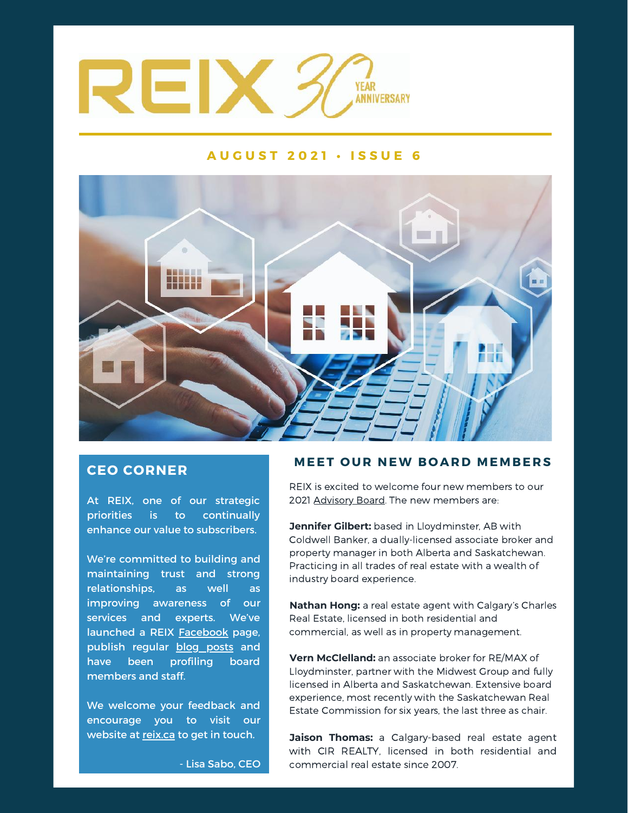

## **A U G U S T 2 0 2 1 • I S S U E 6**



## **CEO CORNER**

At REIX, one of our strategic priorities is to continually enhance our value to subscribers.

We're committed to building and maintaining trust and strong relationships, as well as improving awareness of our services and experts. We've launched a REIX **Facebook** page, publish regular blog posts and have been profiling board members and staff.

We welcome your feedback and encourage you to visit our website at reix.ca to get in touch.

## **MEET O UR NEW B O ARD MEMB E R S**

REIX is excited to welcome four new members to our 2021 Advisory Board. The new members are:

**Jennifer Gilbert:** based in Lloydminster, AB with Coldwell Banker, a dually-licensed associate broker and property manager in both Alberta and Saskatchewan. Practicing in all trades of real estate with a wealth of industry board experience.

**Nathan Hong:** a real estate agent with Calgary's Charles Real Estate, licensed in both residential and commercial, as well as in property management.

**Vern McClelland:** an associate broker for RE/MAX of Lloydminster, partner with the Midwest Group and fully licensed in Alberta and Saskatchewan. Extensive board experience, most recently with the Saskatchewan Real Estate Commission for six years, the last three as chair.

**Jaison Thomas:** a Calgary-based real estate agent with CIR REALTY, licensed in both residential and commercial real estate since 2007.

- Lisa Sabo, CEO